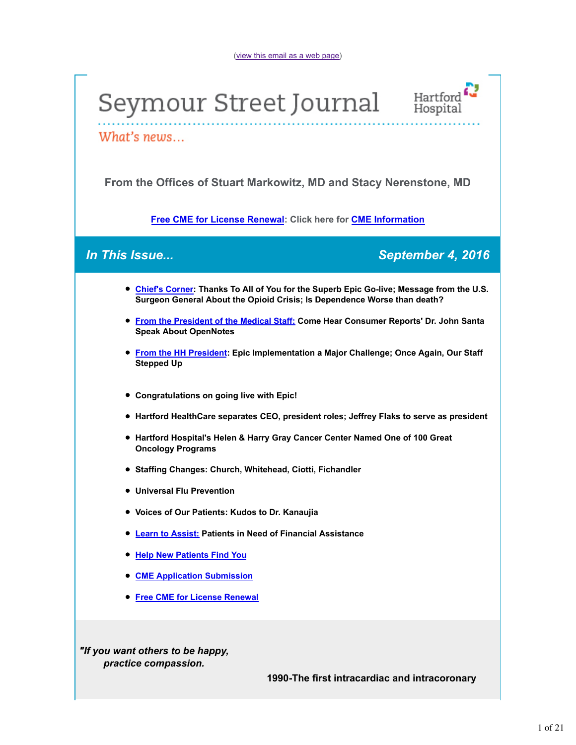



What's news...

**From the Offices of Stuart Markowitz, MD and Stacy Nerenstone, MD**

**Free CME for License Renewal: Click here for CME Information**

*In This Issue... September 4, 2016*

- **Chief's Corner: Thanks To All of You for the Superb Epic Go-live; Message from the U.S. Surgeon General About the Opioid Crisis; Is Dependence Worse than death?**
- **From the President of the Medical Staff: Come Hear Consumer Reports' Dr. John Santa Speak About OpenNotes**
- **From the HH President: Epic Implementation a Major Challenge; Once Again, Our Staff Stepped Up**
- **Congratulations on going live with Epic!**
- **Hartford HealthCare separates CEO, president roles; Jeffrey Flaks to serve as president**
- **Hartford Hospital's Helen & Harry Gray Cancer Center Named One of 100 Great Oncology Programs**
- **Staffing Changes: Church, Whitehead, Ciotti, Fichandler**
- **Universal Flu Prevention**
- **Voices of Our Patients: Kudos to Dr. Kanaujia**
- **Learn to Assist: Patients in Need of Financial Assistance**
- **Help New Patients Find You**
- **CME Application Submission**
- **Free CME for License Renewal**

*"If you want others to be happy, practice compassion.*

**1990-The first intracardiac and intracoronary**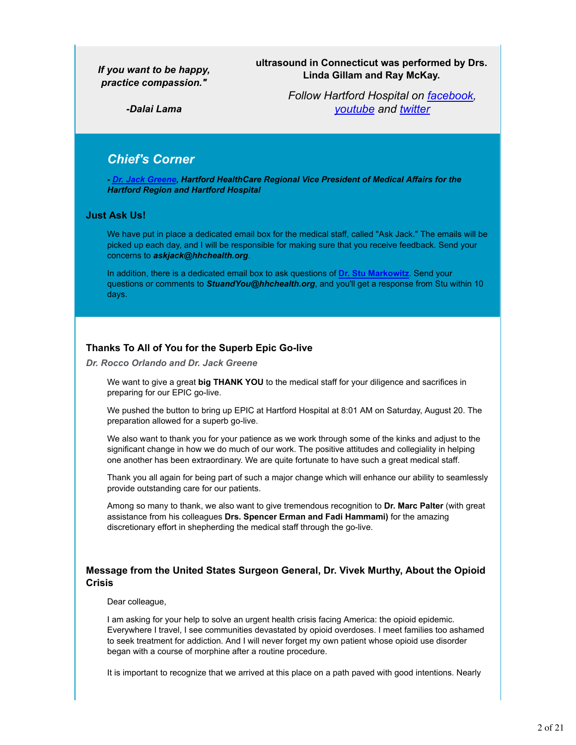### *If you want to be happy, practice compassion."*

**ultrasound in Connecticut was performed by Drs. Linda Gillam and Ray McKay.**

*-Dalai Lama*

*Follow Hartford Hospital on facebook, youtube and twitter*

# *Chief's Corner*

*- Dr. Jack Greene, Hartford HealthCare Regional Vice President of Medical Affairs for the Hartford Region and Hartford Hospital*

#### **Just Ask Us!**

We have put in place a dedicated email box for the medical staff, called "Ask Jack." The emails will be picked up each day, and I will be responsible for making sure that you receive feedback. Send your concerns to *askjack@hhchealth.org*.

In addition, there is a dedicated email box to ask questions of **Dr. Stu Markowitz**. Send your questions or comments to *StuandYou@hhchealth.org*, and you'll get a response from Stu within 10 days.

### **Thanks To All of You for the Superb Epic Go-live**

*Dr. Rocco Orlando and Dr. Jack Greene*

We want to give a great **big THANK YOU** to the medical staff for your diligence and sacrifices in preparing for our EPIC go-live.

We pushed the button to bring up EPIC at Hartford Hospital at 8:01 AM on Saturday, August 20. The preparation allowed for a superb go-live.

We also want to thank you for your patience as we work through some of the kinks and adjust to the significant change in how we do much of our work. The positive attitudes and collegiality in helping one another has been extraordinary. We are quite fortunate to have such a great medical staff.

Thank you all again for being part of such a major change which will enhance our ability to seamlessly provide outstanding care for our patients.

Among so many to thank, we also want to give tremendous recognition to **Dr. Marc Palter** (with great assistance from his colleagues **Drs. Spencer Erman and Fadi Hammami)** for the amazing discretionary effort in shepherding the medical staff through the go-live.

### **Message from the United States Surgeon General, Dr. Vivek Murthy, About the Opioid Crisis**

#### Dear colleague,

I am asking for your help to solve an urgent health crisis facing America: the opioid epidemic. Everywhere I travel, I see communities devastated by opioid overdoses. I meet families too ashamed to seek treatment for addiction. And I will never forget my own patient whose opioid use disorder began with a course of morphine after a routine procedure.

It is important to recognize that we arrived at this place on a path paved with good intentions. Nearly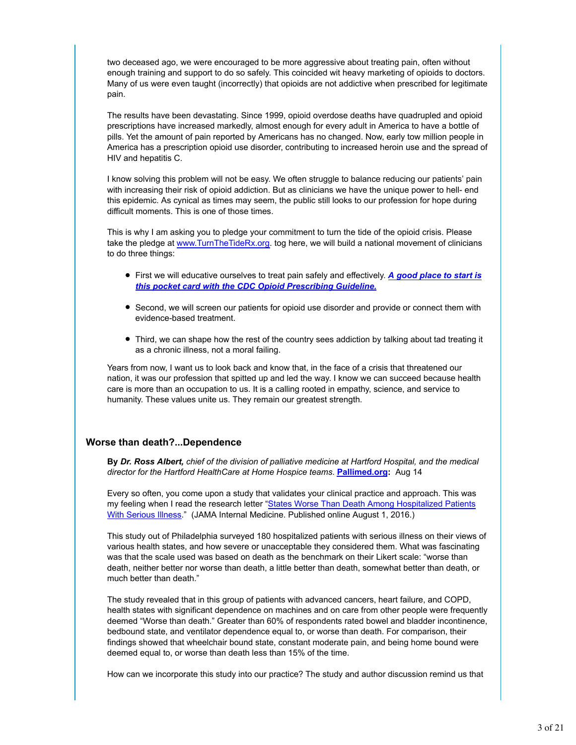two deceased ago, we were encouraged to be more aggressive about treating pain, often without enough training and support to do so safely. This coincided wit heavy marketing of opioids to doctors. Many of us were even taught (incorrectly) that opioids are not addictive when prescribed for legitimate pain.

The results have been devastating. Since 1999, opioid overdose deaths have quadrupled and opioid prescriptions have increased markedly, almost enough for every adult in America to have a bottle of pills. Yet the amount of pain reported by Americans has no changed. Now, early tow million people in America has a prescription opioid use disorder, contributing to increased heroin use and the spread of HIV and hepatitis C.

I know solving this problem will not be easy. We often struggle to balance reducing our patients' pain with increasing their risk of opioid addiction. But as clinicians we have the unique power to hell- end this epidemic. As cynical as times may seem, the public still looks to our profession for hope during difficult moments. This is one of those times.

This is why I am asking you to pledge your commitment to turn the tide of the opioid crisis. Please take the pledge at www.TurnTheTideRx.org. tog here, we will build a national movement of clinicians to do three things:

- First we will educative ourselves to treat pain safely and effectively. *A good place to start is this pocket card with the CDC Opioid Prescribing Guideline.*
- Second, we will screen our patients for opioid use disorder and provide or connect them with evidence-based treatment.
- Third, we can shape how the rest of the country sees addiction by talking about tad treating it as a chronic illness, not a moral failing.

Years from now, I want us to look back and know that, in the face of a crisis that threatened our nation, it was our profession that spitted up and led the way. I know we can succeed because health care is more than an occupation to us. It is a calling rooted in empathy, science, and service to humanity. These values unite us. They remain our greatest strength.

### **Worse than death?...Dependence**

**By** *Dr. Ross Albert, chief of the division of palliative medicine at Hartford Hospital, and the medical director for the Hartford HealthCare at Home Hospice teams*. **Pallimed.org:** Aug 14

Every so often, you come upon a study that validates your clinical practice and approach. This was my feeling when I read the research letter "States Worse Than Death Among Hospitalized Patients With Serious Illness." (JAMA Internal Medicine. Published online August 1, 2016.)

This study out of Philadelphia surveyed 180 hospitalized patients with serious illness on their views of various health states, and how severe or unacceptable they considered them. What was fascinating was that the scale used was based on death as the benchmark on their Likert scale: "worse than death, neither better nor worse than death, a little better than death, somewhat better than death, or much better than death."

The study revealed that in this group of patients with advanced cancers, heart failure, and COPD, health states with significant dependence on machines and on care from other people were frequently deemed "Worse than death." Greater than 60% of respondents rated bowel and bladder incontinence, bedbound state, and ventilator dependence equal to, or worse than death. For comparison, their findings showed that wheelchair bound state, constant moderate pain, and being home bound were deemed equal to, or worse than death less than 15% of the time.

How can we incorporate this study into our practice? The study and author discussion remind us that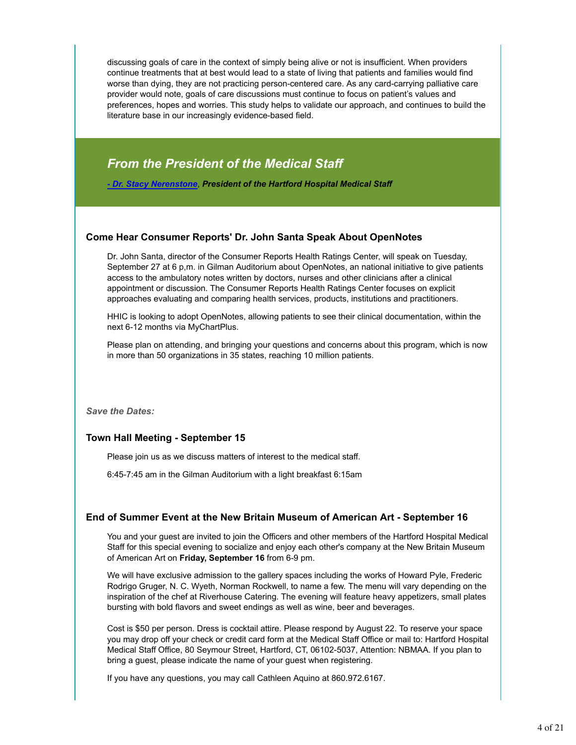discussing goals of care in the context of simply being alive or not is insufficient. When providers continue treatments that at best would lead to a state of living that patients and families would find worse than dying, they are not practicing person-centered care. As any card-carrying palliative care provider would note, goals of care discussions must continue to focus on patient's values and preferences, hopes and worries. This study helps to validate our approach, and continues to build the literature base in our increasingly evidence-based field.

# *From the President of the Medical Staff*

*- Dr. Stacy Nerenstone*, *President of the Hartford Hospital Medical Staff*

### **Come Hear Consumer Reports' Dr. John Santa Speak About OpenNotes**

Dr. John Santa, director of the Consumer Reports Health Ratings Center, will speak on Tuesday, September 27 at 6 p,m. in Gilman Auditorium about OpenNotes, an national initiative to give patients access to the ambulatory notes written by doctors, nurses and other clinicians after a clinical appointment or discussion. The Consumer Reports Health Ratings Center focuses on explicit approaches evaluating and comparing health services, products, institutions and practitioners.

HHIC is looking to adopt OpenNotes, allowing patients to see their clinical documentation, within the next 6-12 months via MyChartPlus.

Please plan on attending, and bringing your questions and concerns about this program, which is now in more than 50 organizations in 35 states, reaching 10 million patients.

*Save the Dates:*

### **Town Hall Meeting - September 15**

Please join us as we discuss matters of interest to the medical staff.

6:45-7:45 am in the Gilman Auditorium with a light breakfast 6:15am

### **End of Summer Event at the New Britain Museum of American Art - September 16**

You and your guest are invited to join the Officers and other members of the Hartford Hospital Medical Staff for this special evening to socialize and enjoy each other's company at the New Britain Museum of American Art on **Friday, September 16** from 6-9 pm.

We will have exclusive admission to the gallery spaces including the works of Howard Pyle, Frederic Rodrigo Gruger, N. C. Wyeth, Norman Rockwell, to name a few. The menu will vary depending on the inspiration of the chef at Riverhouse Catering. The evening will feature heavy appetizers, small plates bursting with bold flavors and sweet endings as well as wine, beer and beverages.

Cost is \$50 per person. Dress is cocktail attire. Please respond by August 22. To reserve your space you may drop off your check or credit card form at the Medical Staff Office or mail to: Hartford Hospital Medical Staff Office, 80 Seymour Street, Hartford, CT, 06102-5037, Attention: NBMAA. If you plan to bring a guest, please indicate the name of your guest when registering.

If you have any questions, you may call Cathleen Aquino at 860.972.6167.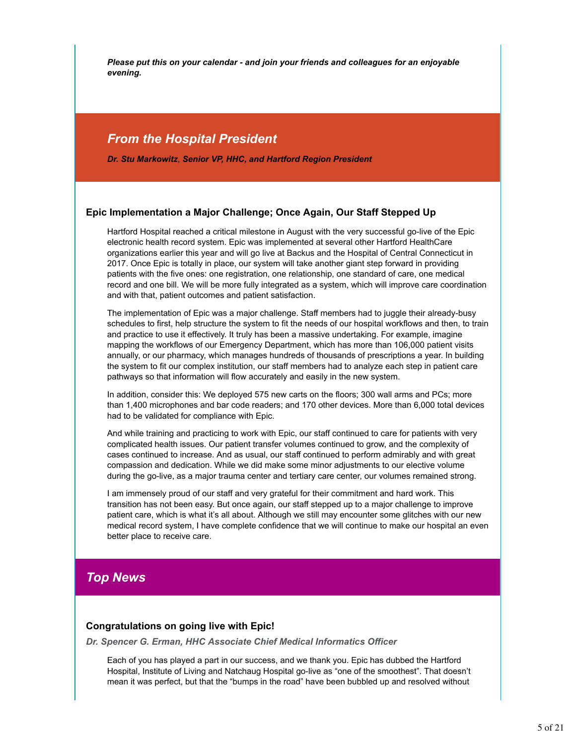*Please put this on your calendar - and join your friends and colleagues for an enjoyable evening.*

# *From the Hospital President*

*Dr. Stu Markowitz*, *Senior VP, HHC, and Hartford Region President*

### **Epic Implementation a Major Challenge; Once Again, Our Staff Stepped Up**

Hartford Hospital reached a critical milestone in August with the very successful go-live of the Epic electronic health record system. Epic was implemented at several other Hartford HealthCare organizations earlier this year and will go live at Backus and the Hospital of Central Connecticut in 2017. Once Epic is totally in place, our system will take another giant step forward in providing patients with the five ones: one registration, one relationship, one standard of care, one medical record and one bill. We will be more fully integrated as a system, which will improve care coordination and with that, patient outcomes and patient satisfaction.

The implementation of Epic was a major challenge. Staff members had to juggle their already-busy schedules to first, help structure the system to fit the needs of our hospital workflows and then, to train and practice to use it effectively. It truly has been a massive undertaking. For example, imagine mapping the workflows of our Emergency Department, which has more than 106,000 patient visits annually, or our pharmacy, which manages hundreds of thousands of prescriptions a year. In building the system to fit our complex institution, our staff members had to analyze each step in patient care pathways so that information will flow accurately and easily in the new system.

In addition, consider this: We deployed 575 new carts on the floors; 300 wall arms and PCs; more than 1,400 microphones and bar code readers; and 170 other devices. More than 6,000 total devices had to be validated for compliance with Epic.

And while training and practicing to work with Epic, our staff continued to care for patients with very complicated health issues. Our patient transfer volumes continued to grow, and the complexity of cases continued to increase. And as usual, our staff continued to perform admirably and with great compassion and dedication. While we did make some minor adjustments to our elective volume during the go-live, as a major trauma center and tertiary care center, our volumes remained strong.

I am immensely proud of our staff and very grateful for their commitment and hard work. This transition has not been easy. But once again, our staff stepped up to a major challenge to improve patient care, which is what it's all about. Although we still may encounter some glitches with our new medical record system, I have complete confidence that we will continue to make our hospital an even better place to receive care.

# *Top News*

### **Congratulations on going live with Epic!**

*Dr. Spencer G. Erman, HHC Associate Chief Medical Informatics Officer*

Each of you has played a part in our success, and we thank you. Epic has dubbed the Hartford Hospital, Institute of Living and Natchaug Hospital go-live as "one of the smoothest". That doesn't mean it was perfect, but that the "bumps in the road" have been bubbled up and resolved without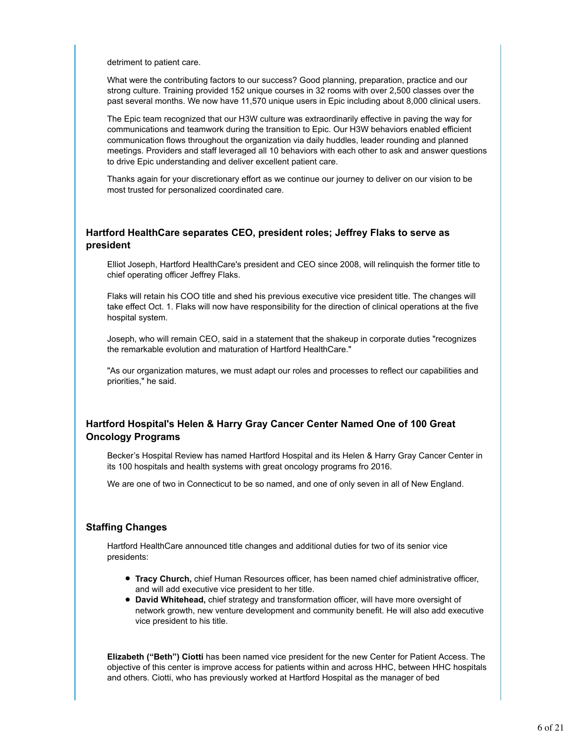detriment to patient care.

What were the contributing factors to our success? Good planning, preparation, practice and our strong culture. Training provided 152 unique courses in 32 rooms with over 2,500 classes over the past several months. We now have 11,570 unique users in Epic including about 8,000 clinical users.

The Epic team recognized that our H3W culture was extraordinarily effective in paving the way for communications and teamwork during the transition to Epic. Our H3W behaviors enabled efficient communication flows throughout the organization via daily huddles, leader rounding and planned meetings. Providers and staff leveraged all 10 behaviors with each other to ask and answer questions to drive Epic understanding and deliver excellent patient care.

Thanks again for your discretionary effort as we continue our journey to deliver on our vision to be most trusted for personalized coordinated care.

### **Hartford HealthCare separates CEO, president roles; Jeffrey Flaks to serve as president**

Elliot Joseph, Hartford HealthCare's president and CEO since 2008, will relinquish the former title to chief operating officer Jeffrey Flaks.

Flaks will retain his COO title and shed his previous executive vice president title. The changes will take effect Oct. 1. Flaks will now have responsibility for the direction of clinical operations at the five hospital system.

Joseph, who will remain CEO, said in a statement that the shakeup in corporate duties "recognizes the remarkable evolution and maturation of Hartford HealthCare."

"As our organization matures, we must adapt our roles and processes to reflect our capabilities and priorities," he said.

## **Hartford Hospital's Helen & Harry Gray Cancer Center Named One of 100 Great Oncology Programs**

Becker's Hospital Review has named Hartford Hospital and its Helen & Harry Gray Cancer Center in its 100 hospitals and health systems with great oncology programs fro 2016.

We are one of two in Connecticut to be so named, and one of only seven in all of New England.

### **Staffing Changes**

Hartford HealthCare announced title changes and additional duties for two of its senior vice presidents:

- **Tracy Church,** chief Human Resources officer, has been named chief administrative officer, and will add executive vice president to her title.
- **David Whitehead,** chief strategy and transformation officer, will have more oversight of network growth, new venture development and community benefit. He will also add executive vice president to his title.

**Elizabeth ("Beth") Ciotti** has been named vice president for the new Center for Patient Access. The objective of this center is improve access for patients within and across HHC, between HHC hospitals and others. Ciotti, who has previously worked at Hartford Hospital as the manager of bed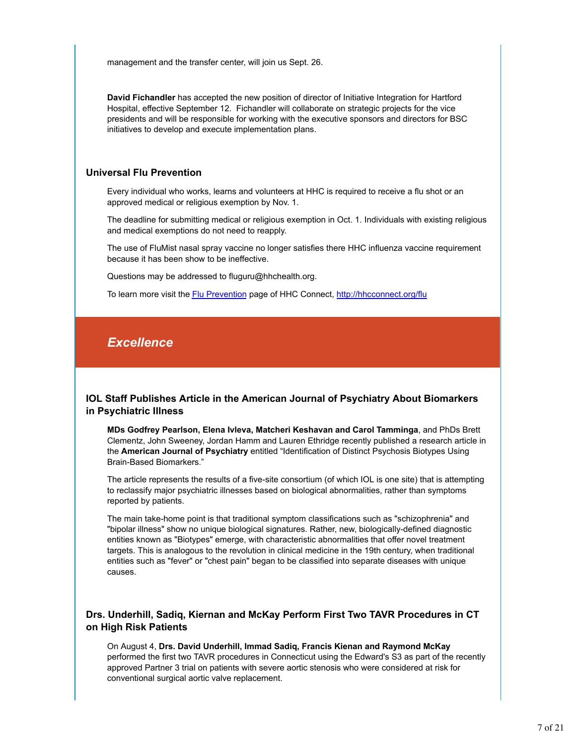management and the transfer center, will join us Sept. 26.

**David Fichandler** has accepted the new position of director of Initiative Integration for Hartford Hospital, effective September 12. Fichandler will collaborate on strategic projects for the vice presidents and will be responsible for working with the executive sponsors and directors for BSC initiatives to develop and execute implementation plans.

### **Universal Flu Prevention**

Every individual who works, learns and volunteers at HHC is required to receive a flu shot or an approved medical or religious exemption by Nov. 1.

The deadline for submitting medical or religious exemption in Oct. 1. Individuals with existing religious and medical exemptions do not need to reapply.

The use of FluMist nasal spray vaccine no longer satisfies there HHC influenza vaccine requirement because it has been show to be ineffective.

Questions may be addressed to fluguru@hhchealth.org.

To learn more visit the Flu Prevention page of HHC Connect, http://hhcconnect.org/flu

# *Excellence*

### **IOL Staff Publishes Article in the American Journal of Psychiatry About Biomarkers in Psychiatric Illness**

**MDs Godfrey Pearlson, Elena Ivleva, Matcheri Keshavan and Carol Tamminga**, and PhDs Brett Clementz, John Sweeney, Jordan Hamm and Lauren Ethridge recently published a research article in the **American Journal of Psychiatry** entitled "Identification of Distinct Psychosis Biotypes Using Brain-Based Biomarkers."

The article represents the results of a five-site consortium (of which IOL is one site) that is attempting to reclassify major psychiatric illnesses based on biological abnormalities, rather than symptoms reported by patients.

The main take-home point is that traditional symptom classifications such as "schizophrenia" and "bipolar illness" show no unique biological signatures. Rather, new, biologically-defined diagnostic entities known as "Biotypes" emerge, with characteristic abnormalities that offer novel treatment targets. This is analogous to the revolution in clinical medicine in the 19th century, when traditional entities such as "fever" or "chest pain" began to be classified into separate diseases with unique causes.

### **Drs. Underhill, Sadiq, Kiernan and McKay Perform First Two TAVR Procedures in CT on High Risk Patients**

On August 4, **Drs. David Underhill, Immad Sadiq, Francis Kienan and Raymond McKay** performed the first two TAVR procedures in Connecticut using the Edward's S3 as part of the recently approved Partner 3 trial on patients with severe aortic stenosis who were considered at risk for conventional surgical aortic valve replacement.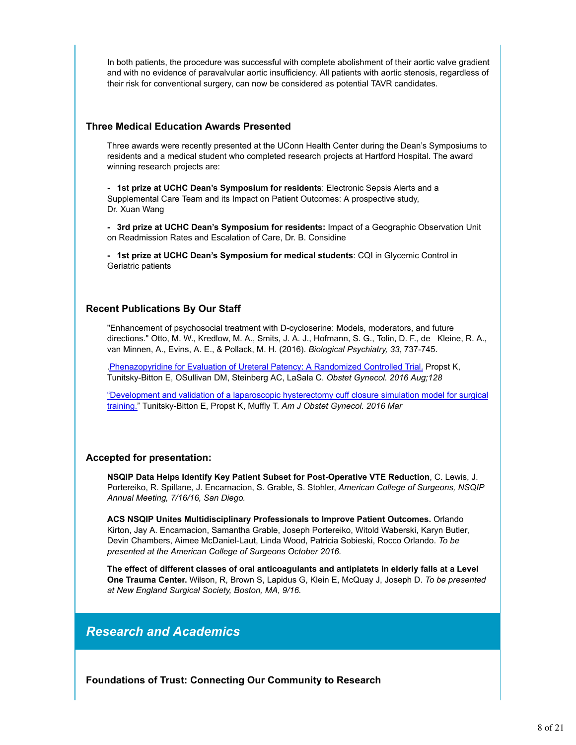In both patients, the procedure was successful with complete abolishment of their aortic valve gradient and with no evidence of paravalvular aortic insufficiency. All patients with aortic stenosis, regardless of their risk for conventional surgery, can now be considered as potential TAVR candidates.

### **Three Medical Education Awards Presented**

Three awards were recently presented at the UConn Health Center during the Dean's Symposiums to residents and a medical student who completed research projects at Hartford Hospital. The award winning research projects are:

**- 1st prize at UCHC Dean's Symposium for residents**: Electronic Sepsis Alerts and a Supplemental Care Team and its Impact on Patient Outcomes: A prospective study, Dr. Xuan Wang

**- 3rd prize at UCHC Dean's Symposium for residents:** Impact of a Geographic Observation Unit on Readmission Rates and Escalation of Care, Dr. B. Considine

**- 1st prize at UCHC Dean's Symposium for medical students**: CQI in Glycemic Control in Geriatric patients

### **Recent Publications By Our Staff**

"Enhancement of psychosocial treatment with D-cycloserine: Models, moderators, and future directions." Otto, M. W., Kredlow, M. A., Smits, J. A. J., Hofmann, S. G., Tolin, D. F., de Kleine, R. A., van Minnen, A., Evins, A. E., & Pollack, M. H. (2016). *Biological Psychiatry, 33*, 737-745.

.Phenazopyridine for Evaluation of Ureteral Patency: A Randomized Controlled Trial. Propst K, Tunitsky-Bitton E, OSullivan DM, Steinberg AC, LaSala C. *Obstet Gynecol. 2016 Aug;128*

"Development and validation of a laparoscopic hysterectomy cuff closure simulation model for surgical training." Tunitsky-Bitton E, Propst K, Muffly T. *Am J Obstet Gynecol. 2016 Mar*

### **Accepted for presentation:**

**NSQIP Data Helps Identify Key Patient Subset for Post-Operative VTE Reduction**, C. Lewis, J. Portereiko, R. Spillane, J. Encarnacion, S. Grable, S. Stohler, *American College of Surgeons, NSQIP Annual Meeting, 7/16/16, San Diego.*

**ACS NSQIP Unites Multidisciplinary Professionals to Improve Patient Outcomes.** Orlando Kirton, Jay A. Encarnacion, Samantha Grable, Joseph Portereiko, Witold Waberski, Karyn Butler, Devin Chambers, Aimee McDaniel-Laut, Linda Wood, Patricia Sobieski, Rocco Orlando. *To be presented at the American College of Surgeons October 2016.*

**The effect of different classes of oral anticoagulants and antiplatets in elderly falls at a Level One Trauma Center.** Wilson, R, Brown S, Lapidus G, Klein E, McQuay J, Joseph D. *To be presented at New England Surgical Society, Boston, MA, 9/16.*

# *Research and Academics*

**Foundations of Trust: Connecting Our Community to Research**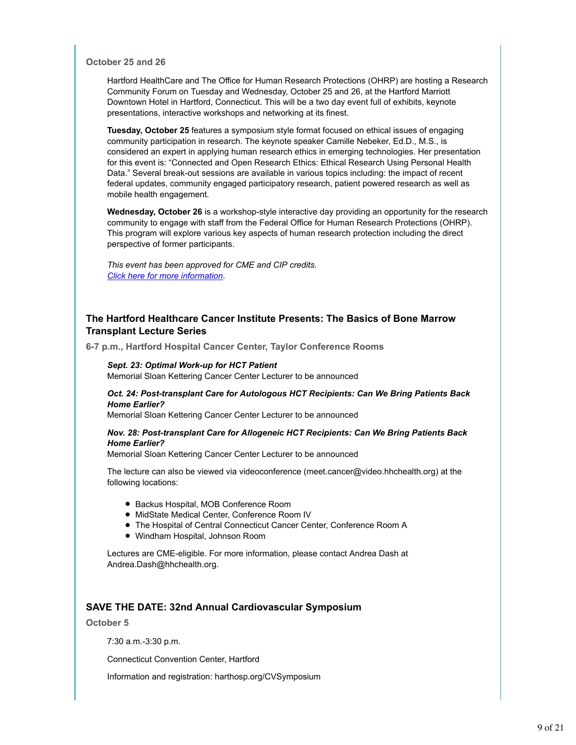#### **October 25 and 26**

Hartford HealthCare and The Office for Human Research Protections (OHRP) are hosting a Research Community Forum on Tuesday and Wednesday, October 25 and 26, at the Hartford Marriott Downtown Hotel in Hartford, Connecticut. This will be a two day event full of exhibits, keynote presentations, interactive workshops and networking at its finest.

**Tuesday, October 25** features a symposium style format focused on ethical issues of engaging community participation in research. The keynote speaker Camille Nebeker, Ed.D., M.S., is considered an expert in applying human research ethics in emerging technologies. Her presentation for this event is: "Connected and Open Research Ethics: Ethical Research Using Personal Health Data." Several break-out sessions are available in various topics including: the impact of recent federal updates, community engaged participatory research, patient powered research as well as mobile health engagement.

**Wednesday, October 26** is a workshop-style interactive day providing an opportunity for the research community to engage with staff from the Federal Office for Human Research Protections (OHRP). This program will explore various key aspects of human research protection including the direct perspective of former participants.

*This event has been approved for CME and CIP credits. Click here for more information*.

### **The Hartford Healthcare Cancer Institute Presents: The Basics of Bone Marrow Transplant Lecture Series**

**6-7 p.m., Hartford Hospital Cancer Center, Taylor Conference Rooms**

#### *Sept. 23: Optimal Work-up for HCT Patient* Memorial Sloan Kettering Cancer Center Lecturer to be announced

*Oct. 24: Post-transplant Care for Autologous HCT Recipients: Can We Bring Patients Back Home Earlier?*

Memorial Sloan Kettering Cancer Center Lecturer to be announced

#### *Nov. 28: Post-transplant Care for Allogeneic HCT Recipients: Can We Bring Patients Back Home Earlier?*

Memorial Sloan Kettering Cancer Center Lecturer to be announced

The lecture can also be viewed via videoconference (meet.cancer@video.hhchealth.org) at the following locations:

- Backus Hospital, MOB Conference Room
- MidState Medical Center, Conference Room IV
- The Hospital of Central Connecticut Cancer Center, Conference Room A
- Windham Hospital, Johnson Room

Lectures are CME-eligible. For more information, please contact Andrea Dash at Andrea.Dash@hhchealth.org.

### **SAVE THE DATE: 32nd Annual Cardiovascular Symposium**

**October 5**

7:30 a.m.-3:30 p.m.

Connecticut Convention Center, Hartford

Information and registration: harthosp.org/CVSymposium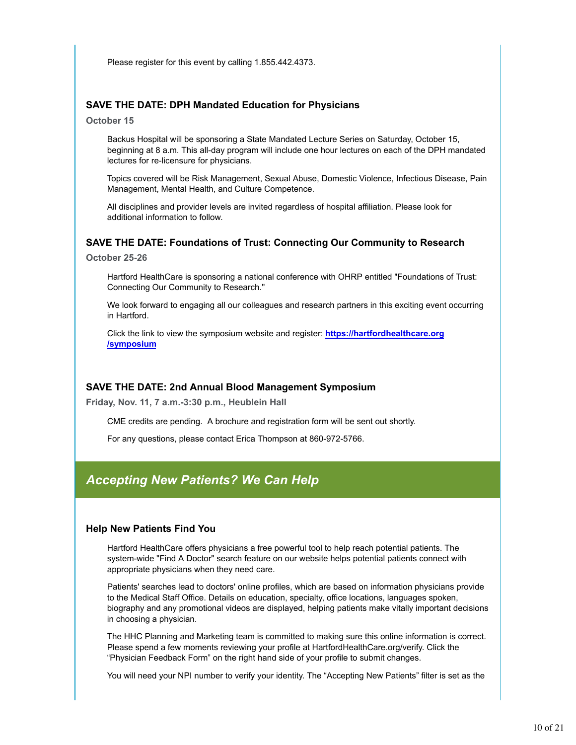Please register for this event by calling 1.855.442.4373.

### **SAVE THE DATE: DPH Mandated Education for Physicians**

**October 15**

Backus Hospital will be sponsoring a State Mandated Lecture Series on Saturday, October 15, beginning at 8 a.m. This all-day program will include one hour lectures on each of the DPH mandated lectures for re-licensure for physicians.

Topics covered will be Risk Management, Sexual Abuse, Domestic Violence, Infectious Disease, Pain Management, Mental Health, and Culture Competence.

All disciplines and provider levels are invited regardless of hospital affiliation. Please look for additional information to follow.

### **SAVE THE DATE: Foundations of Trust: Connecting Our Community to Research**

**October 25-26**

Hartford HealthCare is sponsoring a national conference with OHRP entitled "Foundations of Trust: Connecting Our Community to Research."

We look forward to engaging all our colleagues and research partners in this exciting event occurring in Hartford.

Click the link to view the symposium website and register: **https://hartfordhealthcare.org /symposium**

### **SAVE THE DATE: 2nd Annual Blood Management Symposium**

**Friday, Nov. 11, 7 a.m.-3:30 p.m., Heublein Hall**

CME credits are pending. A brochure and registration form will be sent out shortly.

For any questions, please contact Erica Thompson at 860-972-5766.

# *Accepting New Patients? We Can Help*

#### **Help New Patients Find You**

Hartford HealthCare offers physicians a free powerful tool to help reach potential patients. The system-wide "Find A Doctor" search feature on our website helps potential patients connect with appropriate physicians when they need care.

Patients' searches lead to doctors' online profiles, which are based on information physicians provide to the Medical Staff Office. Details on education, specialty, office locations, languages spoken, biography and any promotional videos are displayed, helping patients make vitally important decisions in choosing a physician.

The HHC Planning and Marketing team is committed to making sure this online information is correct. Please spend a few moments reviewing your profile at HartfordHealthCare.org/verify. Click the "Physician Feedback Form" on the right hand side of your profile to submit changes.

You will need your NPI number to verify your identity. The "Accepting New Patients" filter is set as the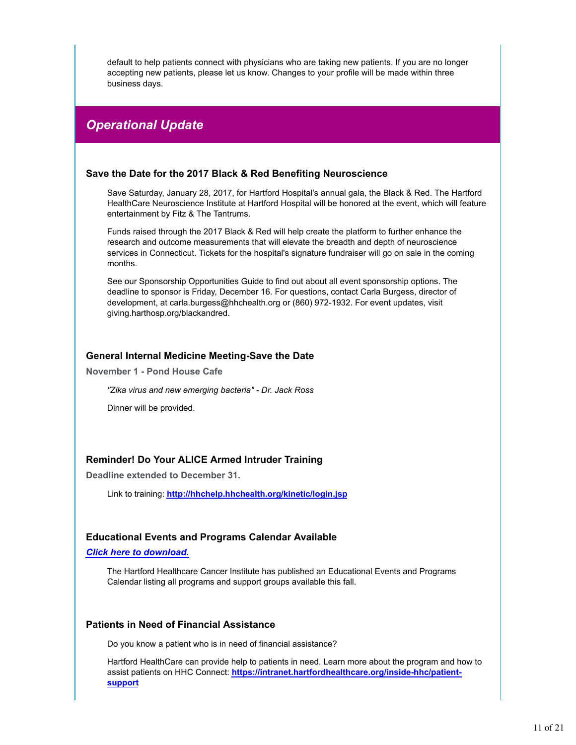default to help patients connect with physicians who are taking new patients. If you are no longer accepting new patients, please let us know. Changes to your profile will be made within three business days.

# *Operational Update*

### **Save the Date for the 2017 Black & Red Benefiting Neuroscience**

Save Saturday, January 28, 2017, for Hartford Hospital's annual gala, the Black & Red. The Hartford HealthCare Neuroscience Institute at Hartford Hospital will be honored at the event, which will feature entertainment by Fitz & The Tantrums.

Funds raised through the 2017 Black & Red will help create the platform to further enhance the research and outcome measurements that will elevate the breadth and depth of neuroscience services in Connecticut. Tickets for the hospital's signature fundraiser will go on sale in the coming months.

See our Sponsorship Opportunities Guide to find out about all event sponsorship options. The deadline to sponsor is Friday, December 16. For questions, contact Carla Burgess, director of development, at carla.burgess@hhchealth.org or (860) 972-1932. For event updates, visit giving.harthosp.org/blackandred.

### **General Internal Medicine Meeting-Save the Date**

**November 1 - Pond House Cafe**

*"Zika virus and new emerging bacteria" - Dr. Jack Ross*

Dinner will be provided.

### **Reminder! Do Your ALICE Armed Intruder Training**

**Deadline extended to December 31.**

Link to training: **http://hhchelp.hhchealth.org/kinetic/login.jsp**

### **Educational Events and Programs Calendar Available**

*Click here to download.*

The Hartford Healthcare Cancer Institute has published an Educational Events and Programs Calendar listing all programs and support groups available this fall.

#### **Patients in Need of Financial Assistance**

Do you know a patient who is in need of financial assistance?

Hartford HealthCare can provide help to patients in need. Learn more about the program and how to assist patients on HHC Connect: **https://intranet.hartfordhealthcare.org/inside-hhc/patientsupport**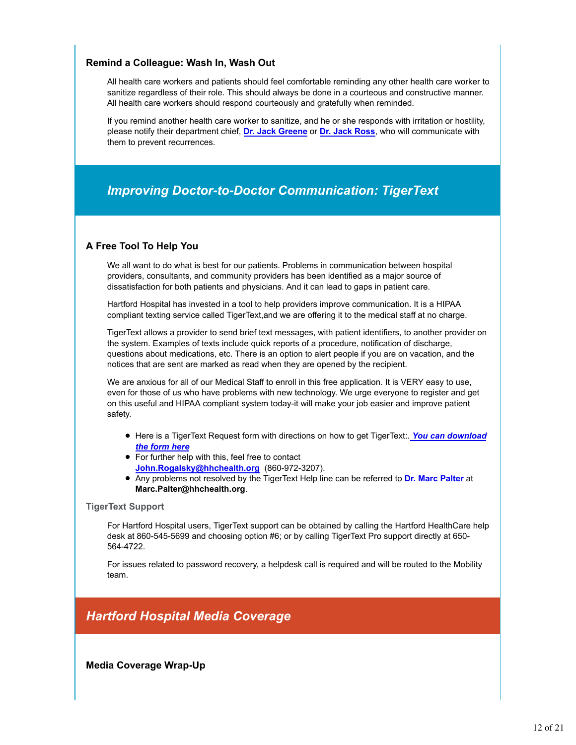### **Remind a Colleague: Wash In, Wash Out**

All health care workers and patients should feel comfortable reminding any other health care worker to sanitize regardless of their role. This should always be done in a courteous and constructive manner. All health care workers should respond courteously and gratefully when reminded.

If you remind another health care worker to sanitize, and he or she responds with irritation or hostility, please notify their department chief, **Dr. Jack Greene** or **Dr. Jack Ross**, who will communicate with them to prevent recurrences.

# *Improving Doctor-to-Doctor Communication: TigerText*

### **A Free Tool To Help You**

We all want to do what is best for our patients. Problems in communication between hospital providers, consultants, and community providers has been identified as a major source of dissatisfaction for both patients and physicians. And it can lead to gaps in patient care.

Hartford Hospital has invested in a tool to help providers improve communication. It is a HIPAA compliant texting service called TigerText,and we are offering it to the medical staff at no charge.

TigerText allows a provider to send brief text messages, with patient identifiers, to another provider on the system. Examples of texts include quick reports of a procedure, notification of discharge, questions about medications, etc. There is an option to alert people if you are on vacation, and the notices that are sent are marked as read when they are opened by the recipient.

We are anxious for all of our Medical Staff to enroll in this free application. It is VERY easy to use, even for those of us who have problems with new technology. We urge everyone to register and get on this useful and HIPAA compliant system today-it will make your job easier and improve patient safety.

- Here is a TigerText Request form with directions on how to get TigerText:. *You can download the form here*
- For further help with this, feel free to contact **John.Rogalsky@hhchealth.org** (860-972-3207).
- Any problems not resolved by the TigerText Help line can be referred to **Dr. Marc Palter** at **Marc.Palter@hhchealth.org**.

### **TigerText Support**

For Hartford Hospital users, TigerText support can be obtained by calling the Hartford HealthCare help desk at 860-545-5699 and choosing option #6; or by calling TigerText Pro support directly at 650- 564-4722.

For issues related to password recovery, a helpdesk call is required and will be routed to the Mobility team.

# *Hartford Hospital Media Coverage*

**Media Coverage Wrap-Up**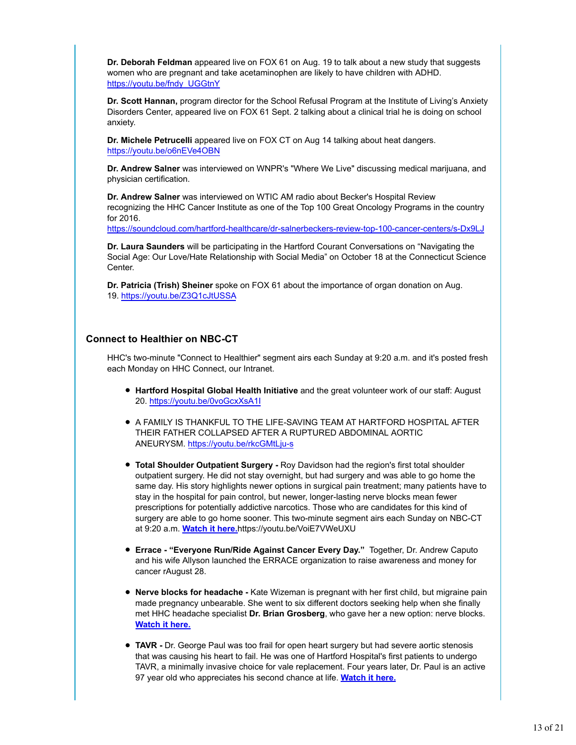**Dr. Deborah Feldman** appeared live on FOX 61 on Aug. 19 to talk about a new study that suggests women who are pregnant and take acetaminophen are likely to have children with ADHD. https://youtu.be/fndy\_UGGtnY

**Dr. Scott Hannan,** program director for the School Refusal Program at the Institute of Living's Anxiety Disorders Center, appeared live on FOX 61 Sept. 2 talking about a clinical trial he is doing on school anxiety.

**Dr. Michele Petrucelli** appeared live on FOX CT on Aug 14 talking about heat dangers. https://youtu.be/o6nEVe4OBN

**Dr. Andrew Salner** was interviewed on WNPR's "Where We Live" discussing medical marijuana, and physician certification.

**Dr. Andrew Salner** was interviewed on WTIC AM radio about Becker's Hospital Review recognizing the HHC Cancer Institute as one of the Top 100 Great Oncology Programs in the country for 2016.

https://soundcloud.com/hartford-healthcare/dr-salnerbeckers-review-top-100-cancer-centers/s-Dx9LJ

**Dr. Laura Saunders** will be participating in the Hartford Courant Conversations on "Navigating the Social Age: Our Love/Hate Relationship with Social Media" on October 18 at the Connecticut Science Center.

**Dr. Patricia (Trish) Sheiner** spoke on FOX 61 about the importance of organ donation on Aug. 19. https://youtu.be/Z3Q1cJtUSSA

### **Connect to Healthier on NBC-CT**

HHC's two-minute "Connect to Healthier" segment airs each Sunday at 9:20 a.m. and it's posted fresh each Monday on HHC Connect, our Intranet.

- **Hartford Hospital Global Health Initiative** and the great volunteer work of our staff: August 20. https://youtu.be/0voGcxXsA1I
- $\bullet$  A FAMILY IS THANKFUL TO THE LIFE-SAVING TEAM AT HARTFORD HOSPITAL AFTER THEIR FATHER COLLAPSED AFTER A RUPTURED ABDOMINAL AORTIC ANEURYSM. https://youtu.be/rkcGMtLju-s
- **Total Shoulder Outpatient Surgery -** Roy Davidson had the region's first total shoulder outpatient surgery. He did not stay overnight, but had surgery and was able to go home the same day. His story highlights newer options in surgical pain treatment; many patients have to stay in the hospital for pain control, but newer, longer-lasting nerve blocks mean fewer prescriptions for potentially addictive narcotics. Those who are candidates for this kind of surgery are able to go home sooner. This two-minute segment airs each Sunday on NBC-CT at 9:20 a.m. **Watch it here.**https://youtu.be/VoiE7VWeUXU
- **Errace "Everyone Run/Ride Against Cancer Every Day."** Together, Dr. Andrew Caputo and his wife Allyson launched the ERRACE organization to raise awareness and money for cancer rAugust 28.
- **Nerve blocks for headache -** Kate Wizeman is pregnant with her first child, but migraine pain made pregnancy unbearable. She went to six different doctors seeking help when she finally met HHC headache specialist **Dr. Brian Grosberg**, who gave her a new option: nerve blocks. **Watch it here.**
- **TAVR -** Dr. George Paul was too frail for open heart surgery but had severe aortic stenosis that was causing his heart to fail. He was one of Hartford Hospital's first patients to undergo TAVR, a minimally invasive choice for vale replacement. Four years later, Dr. Paul is an active 97 year old who appreciates his second chance at life. **Watch it here.**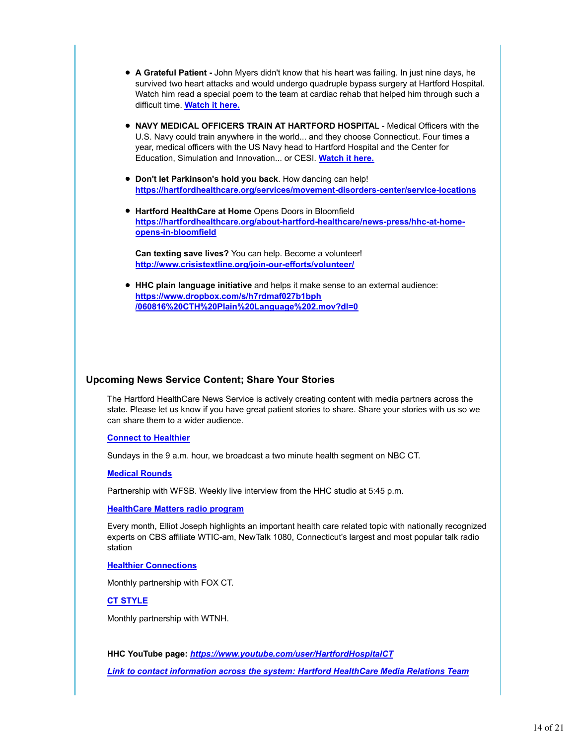- **A Grateful Patient -** John Myers didn't know that his heart was failing. In just nine days, he survived two heart attacks and would undergo quadruple bypass surgery at Hartford Hospital. Watch him read a special poem to the team at cardiac rehab that helped him through such a difficult time. **Watch it here.**
- **NAVY MEDICAL OFFICERS TRAIN AT HARTFORD HOSPITAL Medical Officers with the** U.S. Navy could train anywhere in the world... and they choose Connecticut. Four times a year, medical officers with the US Navy head to Hartford Hospital and the Center for Education, Simulation and Innovation... or CESI. **Watch it here.**
- **Don't let Parkinson's hold you back**. How dancing can help! **https://hartfordhealthcare.org/services/movement-disorders-center/service-locations**
- **Hartford HealthCare at Home** Opens Doors in Bloomfield **https://hartfordhealthcare.org/about-hartford-healthcare/news-press/hhc-at-homeopens-in-bloomfield**

**Can texting save lives?** You can help. Become a volunteer! **http://www.crisistextline.org/join-our-efforts/volunteer/**

**HHC plain language initiative** and helps it make sense to an external audience: **https://www.dropbox.com/s/h7rdmaf027b1bph /060816%20CTH%20Plain%20Language%202.mov?dl=0**

### **Upcoming News Service Content; Share Your Stories**

The Hartford HealthCare News Service is actively creating content with media partners across the state. Please let us know if you have great patient stories to share. Share your stories with us so we can share them to a wider audience.

#### **Connect to Healthier**

Sundays in the 9 a.m. hour, we broadcast a two minute health segment on NBC CT.

#### **Medical Rounds**

Partnership with WFSB. Weekly live interview from the HHC studio at 5:45 p.m.

#### **HealthCare Matters radio program**

Every month, Elliot Joseph highlights an important health care related topic with nationally recognized experts on CBS affiliate WTIC-am, NewTalk 1080, Connecticut's largest and most popular talk radio station

#### **Healthier Connections**

Monthly partnership with FOX CT.

**CT STYLE**

Monthly partnership with WTNH.

**HHC YouTube page:** *https://www.youtube.com/user/HartfordHospitalCT Link to contact information across the system: Hartford HealthCare Media Relations Team*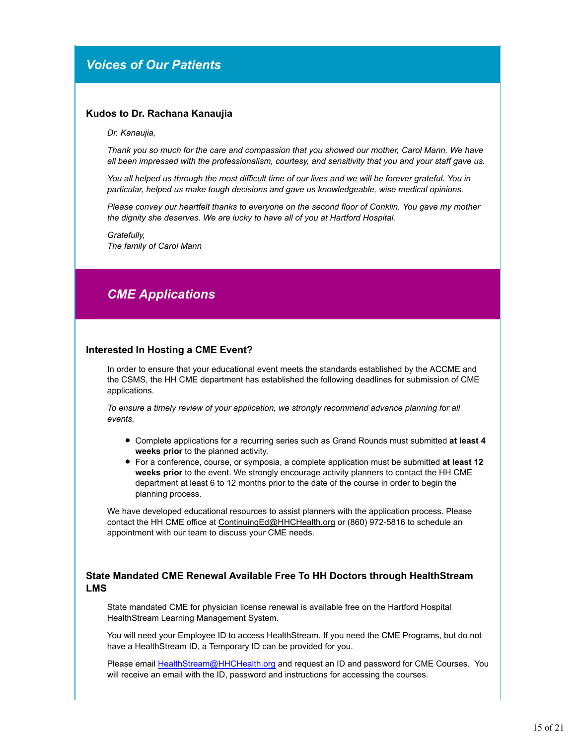# *Voices of Our Patients*

#### **Kudos to Dr. Rachana Kanaujia**

*Dr. Kanaujia,*

*Thank you so much for the care and compassion that you showed our mother, Carol Mann. We have all been impressed with the professionalism, courtesy, and sensitivity that you and your staff gave us.*

*You all helped us through the most difficult time of our lives and we will be forever grateful. You in particular, helped us make tough decisions and gave us knowledgeable, wise medical opinions.*

*Please convey our heartfelt thanks to everyone on the second floor of Conklin. You gave my mother the dignity she deserves. We are lucky to have all of you at Hartford Hospital.*

*Gratefully, The family of Carol Mann*

# *CME Applications*

#### **Interested In Hosting a CME Event?**

In order to ensure that your educational event meets the standards established by the ACCME and the CSMS, the HH CME department has established the following deadlines for submission of CME applications.

*To ensure a timely review of your application, we strongly recommend advance planning for all events.* 

- Complete applications for a recurring series such as Grand Rounds must submitted **at least 4 weeks prior** to the planned activity.
- For a conference, course, or symposia, a complete application must be submitted **at least 12 weeks prior** to the event. We strongly encourage activity planners to contact the HH CME department at least 6 to 12 months prior to the date of the course in order to begin the planning process.

We have developed educational resources to assist planners with the application process. Please contact the HH CME office at ContinuingEd@HHCHealth.org or (860) 972-5816 to schedule an appointment with our team to discuss your CME needs.

### **State Mandated CME Renewal Available Free To HH Doctors through HealthStream LMS**

State mandated CME for physician license renewal is available free on the Hartford Hospital HealthStream Learning Management System.

You will need your Employee ID to access HealthStream. If you need the CME Programs, but do not have a HealthStream ID, a Temporary ID can be provided for you.

Please email HealthStream@HHCHealth.org and request an ID and password for CME Courses. You will receive an email with the ID, password and instructions for accessing the courses.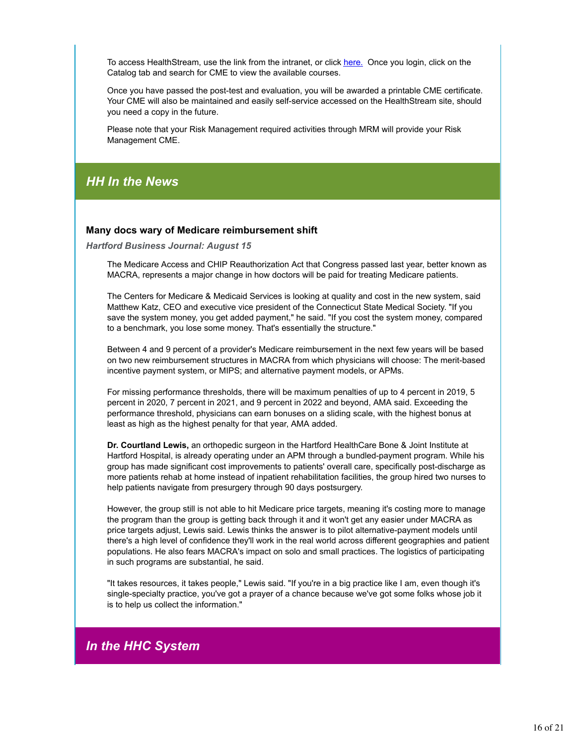To access HealthStream, use the link from the intranet, or click here. Once you login, click on the Catalog tab and search for CME to view the available courses.

Once you have passed the post-test and evaluation, you will be awarded a printable CME certificate. Your CME will also be maintained and easily self-service accessed on the HealthStream site, should you need a copy in the future.

Please note that your Risk Management required activities through MRM will provide your Risk Management CME.

# *HH In the News*

### **Many docs wary of Medicare reimbursement shift**

*Hartford Business Journal: August 15*

The Medicare Access and CHIP Reauthorization Act that Congress passed last year, better known as MACRA, represents a major change in how doctors will be paid for treating Medicare patients.

The Centers for Medicare & Medicaid Services is looking at quality and cost in the new system, said Matthew Katz, CEO and executive vice president of the Connecticut State Medical Society. "If you save the system money, you get added payment," he said. "If you cost the system money, compared to a benchmark, you lose some money. That's essentially the structure."

Between 4 and 9 percent of a provider's Medicare reimbursement in the next few years will be based on two new reimbursement structures in MACRA from which physicians will choose: The merit-based incentive payment system, or MIPS; and alternative payment models, or APMs.

For missing performance thresholds, there will be maximum penalties of up to 4 percent in 2019, 5 percent in 2020, 7 percent in 2021, and 9 percent in 2022 and beyond, AMA said. Exceeding the performance threshold, physicians can earn bonuses on a sliding scale, with the highest bonus at least as high as the highest penalty for that year, AMA added.

**Dr. Courtland Lewis,** an orthopedic surgeon in the Hartford HealthCare Bone & Joint Institute at Hartford Hospital, is already operating under an APM through a bundled-payment program. While his group has made significant cost improvements to patients' overall care, specifically post-discharge as more patients rehab at home instead of inpatient rehabilitation facilities, the group hired two nurses to help patients navigate from presurgery through 90 days postsurgery.

However, the group still is not able to hit Medicare price targets, meaning it's costing more to manage the program than the group is getting back through it and it won't get any easier under MACRA as price targets adjust, Lewis said. Lewis thinks the answer is to pilot alternative-payment models until there's a high level of confidence they'll work in the real world across different geographies and patient populations. He also fears MACRA's impact on solo and small practices. The logistics of participating in such programs are substantial, he said.

"It takes resources, it takes people," Lewis said. "If you're in a big practice like I am, even though it's single-specialty practice, you've got a prayer of a chance because we've got some folks whose job it is to help us collect the information."

# *In the HHC System*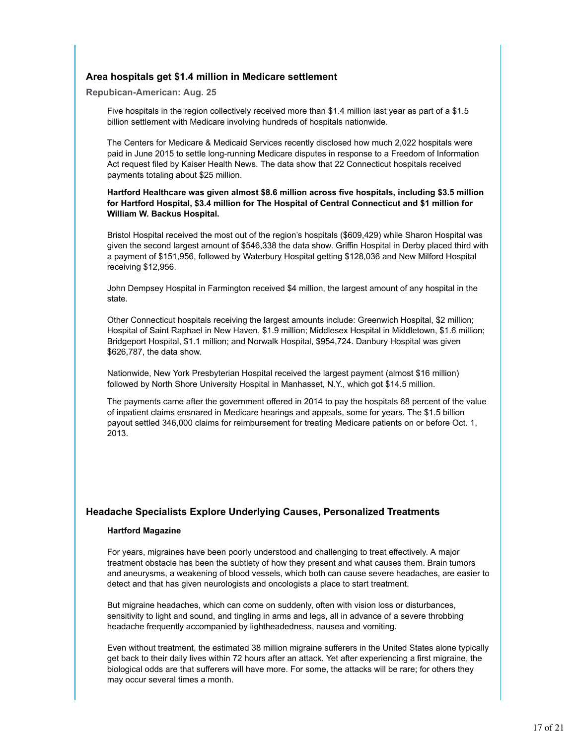### **Area hospitals get \$1.4 million in Medicare settlement**

**Repubican-American: Aug. 25**

Five hospitals in the region collectively received more than \$1.4 million last year as part of a \$1.5 billion settlement with Medicare involving hundreds of hospitals nationwide.

The Centers for Medicare & Medicaid Services recently disclosed how much 2,022 hospitals were paid in June 2015 to settle long-running Medicare disputes in response to a Freedom of Information Act request filed by Kaiser Health News. The data show that 22 Connecticut hospitals received payments totaling about \$25 million.

#### **Hartford Healthcare was given almost \$8.6 million across five hospitals, including \$3.5 million for Hartford Hospital, \$3.4 million for The Hospital of Central Connecticut and \$1 million for William W. Backus Hospital.**

Bristol Hospital received the most out of the region's hospitals (\$609,429) while Sharon Hospital was given the second largest amount of \$546,338 the data show. Griffin Hospital in Derby placed third with a payment of \$151,956, followed by Waterbury Hospital getting \$128,036 and New Milford Hospital receiving \$12,956.

John Dempsey Hospital in Farmington received \$4 million, the largest amount of any hospital in the state.

Other Connecticut hospitals receiving the largest amounts include: Greenwich Hospital, \$2 million; Hospital of Saint Raphael in New Haven, \$1.9 million; Middlesex Hospital in Middletown, \$1.6 million; Bridgeport Hospital, \$1.1 million; and Norwalk Hospital, \$954,724. Danbury Hospital was given \$626,787, the data show.

Nationwide, New York Presbyterian Hospital received the largest payment (almost \$16 million) followed by North Shore University Hospital in Manhasset, N.Y., which got \$14.5 million.

The payments came after the government offered in 2014 to pay the hospitals 68 percent of the value of inpatient claims ensnared in Medicare hearings and appeals, some for years. The \$1.5 billion payout settled 346,000 claims for reimbursement for treating Medicare patients on or before Oct. 1, 2013.

### **Headache Specialists Explore Underlying Causes, Personalized Treatments**

### **Hartford Magazine**

For years, migraines have been poorly understood and challenging to treat effectively. A major treatment obstacle has been the subtlety of how they present and what causes them. Brain tumors and aneurysms, a weakening of blood vessels, which both can cause severe headaches, are easier to detect and that has given neurologists and oncologists a place to start treatment.

But migraine headaches, which can come on suddenly, often with vision loss or disturbances, sensitivity to light and sound, and tingling in arms and legs, all in advance of a severe throbbing headache frequently accompanied by lightheadedness, nausea and vomiting.

Even without treatment, the estimated 38 million migraine sufferers in the United States alone typically get back to their daily lives within 72 hours after an attack. Yet after experiencing a first migraine, the biological odds are that sufferers will have more. For some, the attacks will be rare; for others they may occur several times a month.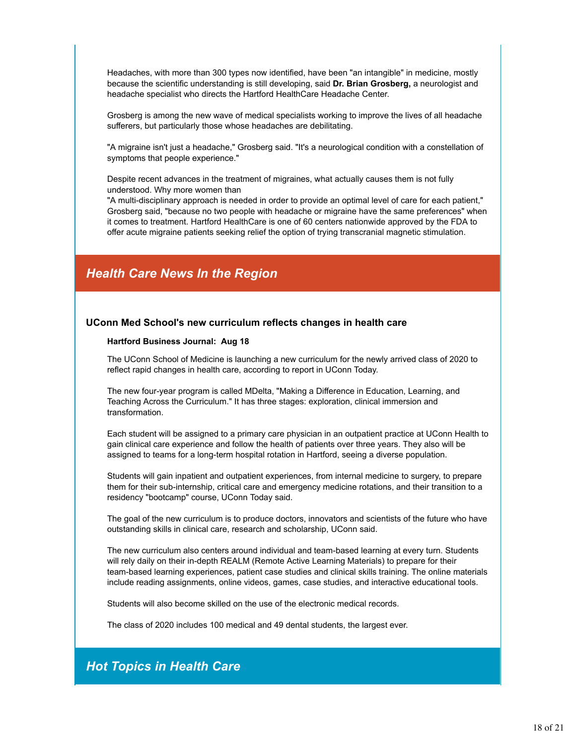Headaches, with more than 300 types now identified, have been "an intangible" in medicine, mostly because the scientific understanding is still developing, said **Dr. Brian Grosberg,** a neurologist and headache specialist who directs the Hartford HealthCare Headache Center.

Grosberg is among the new wave of medical specialists working to improve the lives of all headache sufferers, but particularly those whose headaches are debilitating.

"A migraine isn't just a headache," Grosberg said. "It's a neurological condition with a constellation of symptoms that people experience."

Despite recent advances in the treatment of migraines, what actually causes them is not fully understood. Why more women than

"A multi-disciplinary approach is needed in order to provide an optimal level of care for each patient," Grosberg said, "because no two people with headache or migraine have the same preferences" when it comes to treatment. Hartford HealthCare is one of 60 centers nationwide approved by the FDA to offer acute migraine patients seeking relief the option of trying transcranial magnetic stimulation.

# *Health Care News In the Region*

#### **UConn Med School's new curriculum reflects changes in health care**

#### **Hartford Business Journal: Aug 18**

The UConn School of Medicine is launching a new curriculum for the newly arrived class of 2020 to reflect rapid changes in health care, according to report in UConn Today.

The new four-year program is called MDelta, "Making a Difference in Education, Learning, and Teaching Across the Curriculum." It has three stages: exploration, clinical immersion and transformation.

Each student will be assigned to a primary care physician in an outpatient practice at UConn Health to gain clinical care experience and follow the health of patients over three years. They also will be assigned to teams for a long-term hospital rotation in Hartford, seeing a diverse population.

Students will gain inpatient and outpatient experiences, from internal medicine to surgery, to prepare them for their sub-internship, critical care and emergency medicine rotations, and their transition to a residency "bootcamp" course, UConn Today said.

The goal of the new curriculum is to produce doctors, innovators and scientists of the future who have outstanding skills in clinical care, research and scholarship, UConn said.

The new curriculum also centers around individual and team-based learning at every turn. Students will rely daily on their in-depth REALM (Remote Active Learning Materials) to prepare for their team-based learning experiences, patient case studies and clinical skills training. The online materials include reading assignments, online videos, games, case studies, and interactive educational tools.

Students will also become skilled on the use of the electronic medical records.

The class of 2020 includes 100 medical and 49 dental students, the largest ever.

# *Hot Topics in Health Care*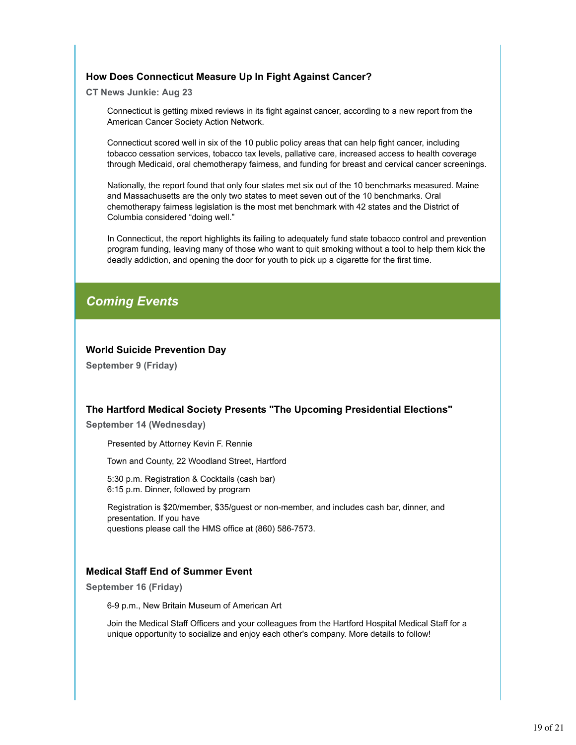### **How Does Connecticut Measure Up In Fight Against Cancer?**

**CT News Junkie: Aug 23**

Connecticut is getting mixed reviews in its fight against cancer, according to a new report from the American Cancer Society Action Network.

Connecticut scored well in six of the 10 public policy areas that can help fight cancer, including tobacco cessation services, tobacco tax levels, pallative care, increased access to health coverage through Medicaid, oral chemotherapy fairness, and funding for breast and cervical cancer screenings.

Nationally, the report found that only four states met six out of the 10 benchmarks measured. Maine and Massachusetts are the only two states to meet seven out of the 10 benchmarks. Oral chemotherapy fairness legislation is the most met benchmark with 42 states and the District of Columbia considered "doing well."

In Connecticut, the report highlights its failing to adequately fund state tobacco control and prevention program funding, leaving many of those who want to quit smoking without a tool to help them kick the deadly addiction, and opening the door for youth to pick up a cigarette for the first time.

# *Coming Events*

### **World Suicide Prevention Day**

**September 9 (Friday)**

### **The Hartford Medical Society Presents "The Upcoming Presidential Elections"**

**September 14 (Wednesday)**

Presented by Attorney Kevin F. Rennie

Town and County, 22 Woodland Street, Hartford

5:30 p.m. Registration & Cocktails (cash bar) 6:15 p.m. Dinner, followed by program

Registration is \$20/member, \$35/guest or non-member, and includes cash bar, dinner, and presentation. If you have questions please call the HMS office at (860) 586-7573.

### **Medical Staff End of Summer Event**

**September 16 (Friday)**

6-9 p.m., New Britain Museum of American Art

Join the Medical Staff Officers and your colleagues from the Hartford Hospital Medical Staff for a unique opportunity to socialize and enjoy each other's company. More details to follow!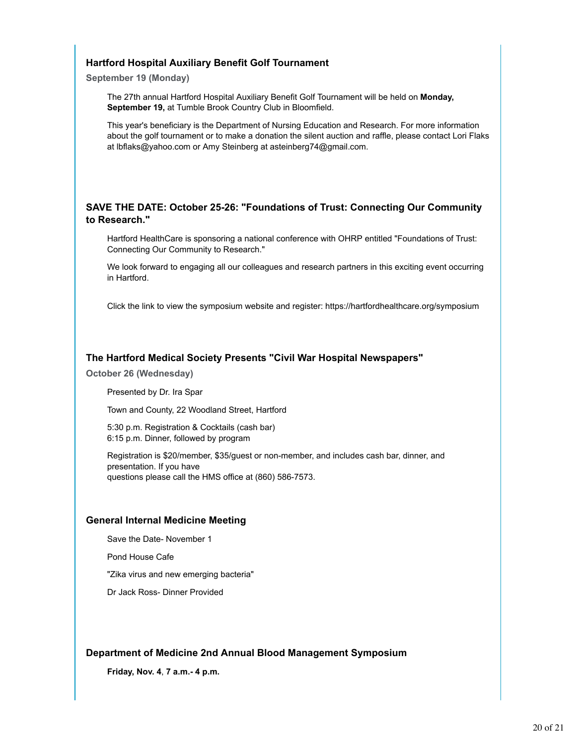### **Hartford Hospital Auxiliary Benefit Golf Tournament**

**September 19 (Monday)**

The 27th annual Hartford Hospital Auxiliary Benefit Golf Tournament will be held on **Monday, September 19,** at Tumble Brook Country Club in Bloomfield.

This year's beneficiary is the Department of Nursing Education and Research. For more information about the golf tournament or to make a donation the silent auction and raffle, please contact Lori Flaks at lbflaks@yahoo.com or Amy Steinberg at asteinberg74@gmail.com.

### **SAVE THE DATE: October 25-26: "Foundations of Trust: Connecting Our Community to Research."**

Hartford HealthCare is sponsoring a national conference with OHRP entitled "Foundations of Trust: Connecting Our Community to Research."

We look forward to engaging all our colleagues and research partners in this exciting event occurring in Hartford.

Click the link to view the symposium website and register: https://hartfordhealthcare.org/symposium

### **The Hartford Medical Society Presents "Civil War Hospital Newspapers"**

**October 26 (Wednesday)**

Presented by Dr. Ira Spar

Town and County, 22 Woodland Street, Hartford

5:30 p.m. Registration & Cocktails (cash bar) 6:15 p.m. Dinner, followed by program

Registration is \$20/member, \$35/guest or non-member, and includes cash bar, dinner, and presentation. If you have questions please call the HMS office at (860) 586-7573.

### **General Internal Medicine Meeting**

Save the Date- November 1

Pond House Cafe

"Zika virus and new emerging bacteria"

Dr Jack Ross- Dinner Provided

### **Department of Medicine 2nd Annual Blood Management Symposium**

**Friday, Nov. 4**, **7 a.m.- 4 p.m.**